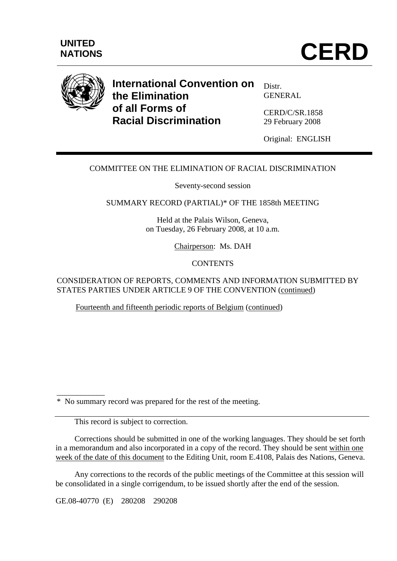



# **International Convention on the Elimination of all Forms of Racial Discrimination**

Distr. GENERAL

CERD/C/SR.1858 29 February 2008

Original: ENGLISH

## COMMITTEE ON THE ELIMINATION OF RACIAL DISCRIMINATION

Seventy-second session

SUMMARY RECORD (PARTIAL)\* OF THE 1858th MEETING

Held at the Palais Wilson, Geneva, on Tuesday, 26 February 2008, at 10 a.m.

Chairperson: Ms. DAH

#### **CONTENTS**

CONSIDERATION OF REPORTS, COMMENTS AND INFORMATION SUBMITTED BY STATES PARTIES UNDER ARTICLE 9 OF THE CONVENTION (continued)

Fourteenth and fifteenth periodic reports of Belgium (continued)

\* No summary record was prepared for the rest of the meeting.

This record is subject to correction.

\_\_\_\_\_\_\_\_\_\_\_\_

 Corrections should be submitted in one of the working languages. They should be set forth in a memorandum and also incorporated in a copy of the record. They should be sent within one week of the date of this document to the Editing Unit, room E.4108, Palais des Nations, Geneva.

 Any corrections to the records of the public meetings of the Committee at this session will be consolidated in a single corrigendum, to be issued shortly after the end of the session.

GE.08-40770 (E) 280208 290208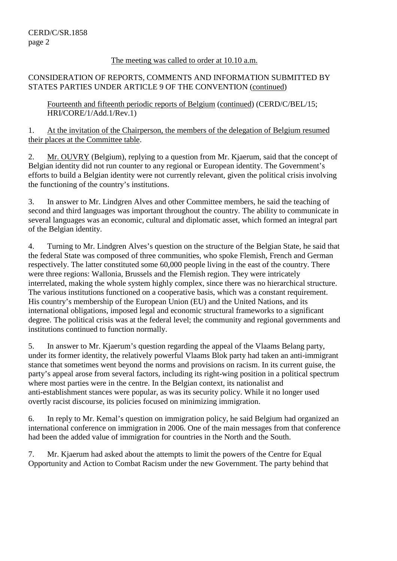### The meeting was called to order at 10.10 a.m.

## CONSIDERATION OF REPORTS, COMMENTS AND INFORMATION SUBMITTED BY STATES PARTIES UNDER ARTICLE 9 OF THE CONVENTION (continued)

Fourteenth and fifteenth periodic reports of Belgium (continued) (CERD/C/BEL/15; HRI/CORE/1/Add.1/Rev.1)

1. At the invitation of the Chairperson, the members of the delegation of Belgium resumed their places at the Committee table.

2. Mr. OUVRY (Belgium), replying to a question from Mr. Kjaerum, said that the concept of Belgian identity did not run counter to any regional or European identity. The Government's efforts to build a Belgian identity were not currently relevant, given the political crisis involving the functioning of the country's institutions.

3. In answer to Mr. Lindgren Alves and other Committee members, he said the teaching of second and third languages was important throughout the country. The ability to communicate in several languages was an economic, cultural and diplomatic asset, which formed an integral part of the Belgian identity.

4. Turning to Mr. Lindgren Alves's question on the structure of the Belgian State, he said that the federal State was composed of three communities, who spoke Flemish, French and German respectively. The latter constituted some 60,000 people living in the east of the country. There were three regions: Wallonia, Brussels and the Flemish region. They were intricately interrelated, making the whole system highly complex, since there was no hierarchical structure. The various institutions functioned on a cooperative basis, which was a constant requirement. His country's membership of the European Union (EU) and the United Nations, and its international obligations, imposed legal and economic structural frameworks to a significant degree. The political crisis was at the federal level; the community and regional governments and institutions continued to function normally.

5. In answer to Mr. Kjaerum's question regarding the appeal of the Vlaams Belang party, under its former identity, the relatively powerful Vlaams Blok party had taken an anti-immigrant stance that sometimes went beyond the norms and provisions on racism. In its current guise, the party's appeal arose from several factors, including its right-wing position in a political spectrum where most parties were in the centre. In the Belgian context, its nationalist and anti-establishment stances were popular, as was its security policy. While it no longer used overtly racist discourse, its policies focused on minimizing immigration.

6. In reply to Mr. Kemal's question on immigration policy, he said Belgium had organized an international conference on immigration in 2006. One of the main messages from that conference had been the added value of immigration for countries in the North and the South.

7. Mr. Kjaerum had asked about the attempts to limit the powers of the Centre for Equal Opportunity and Action to Combat Racism under the new Government. The party behind that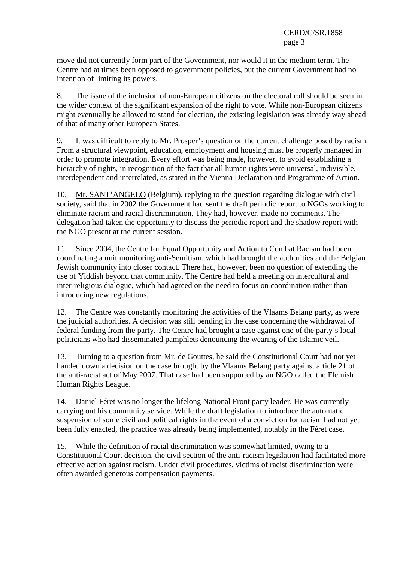move did not currently form part of the Government, nor would it in the medium term. The Centre had at times been opposed to government policies, but the current Government had no intention of limiting its powers.

8. The issue of the inclusion of non-European citizens on the electoral roll should be seen in the wider context of the significant expansion of the right to vote. While non-European citizens might eventually be allowed to stand for election, the existing legislation was already way ahead of that of many other European States.

9. It was difficult to reply to Mr. Prosper's question on the current challenge posed by racism. From a structural viewpoint, education, employment and housing must be properly managed in order to promote integration. Every effort was being made, however, to avoid establishing a hierarchy of rights, in recognition of the fact that all human rights were universal, indivisible, interdependent and interrelated, as stated in the Vienna Declaration and Programme of Action.

10. Mr. SANT'ANGELO (Belgium), replying to the question regarding dialogue with civil society, said that in 2002 the Government had sent the draft periodic report to NGOs working to eliminate racism and racial discrimination. They had, however, made no comments. The delegation had taken the opportunity to discuss the periodic report and the shadow report with the NGO present at the current session.

11. Since 2004, the Centre for Equal Opportunity and Action to Combat Racism had been coordinating a unit monitoring anti-Semitism, which had brought the authorities and the Belgian Jewish community into closer contact. There had, however, been no question of extending the use of Yiddish beyond that community. The Centre had held a meeting on intercultural and inter-religious dialogue, which had agreed on the need to focus on coordination rather than introducing new regulations.

12. The Centre was constantly monitoring the activities of the Vlaams Belang party, as were the judicial authorities. A decision was still pending in the case concerning the withdrawal of federal funding from the party. The Centre had brought a case against one of the party's local politicians who had disseminated pamphlets denouncing the wearing of the Islamic veil.

13. Turning to a question from Mr. de Gouttes, he said the Constitutional Court had not yet handed down a decision on the case brought by the Vlaams Belang party against article 21 of the anti-racist act of May 2007. That case had been supported by an NGO called the Flemish Human Rights League.

14. Daniel Féret was no longer the lifelong National Front party leader. He was currently carrying out his community service. While the draft legislation to introduce the automatic suspension of some civil and political rights in the event of a conviction for racism had not yet been fully enacted, the practice was already being implemented, notably in the Féret case.

15. While the definition of racial discrimination was somewhat limited, owing to a Constitutional Court decision, the civil section of the anti-racism legislation had facilitated more effective action against racism. Under civil procedures, victims of racist discrimination were often awarded generous compensation payments.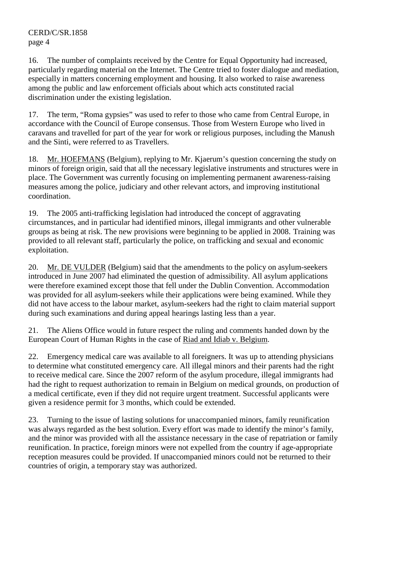16. The number of complaints received by the Centre for Equal Opportunity had increased, particularly regarding material on the Internet. The Centre tried to foster dialogue and mediation, especially in matters concerning employment and housing. It also worked to raise awareness among the public and law enforcement officials about which acts constituted racial discrimination under the existing legislation.

17. The term, "Roma gypsies" was used to refer to those who came from Central Europe, in accordance with the Council of Europe consensus. Those from Western Europe who lived in caravans and travelled for part of the year for work or religious purposes, including the Manush and the Sinti, were referred to as Travellers.

18. Mr. HOEFMANS (Belgium), replying to Mr. Kjaerum's question concerning the study on minors of foreign origin, said that all the necessary legislative instruments and structures were in place. The Government was currently focusing on implementing permanent awareness-raising measures among the police, judiciary and other relevant actors, and improving institutional coordination.

19. The 2005 anti-trafficking legislation had introduced the concept of aggravating circumstances, and in particular had identified minors, illegal immigrants and other vulnerable groups as being at risk. The new provisions were beginning to be applied in 2008. Training was provided to all relevant staff, particularly the police, on trafficking and sexual and economic exploitation.

20. Mr. DE VULDER (Belgium) said that the amendments to the policy on asylum-seekers introduced in June 2007 had eliminated the question of admissibility. All asylum applications were therefore examined except those that fell under the Dublin Convention. Accommodation was provided for all asylum-seekers while their applications were being examined. While they did not have access to the labour market, asylum-seekers had the right to claim material support during such examinations and during appeal hearings lasting less than a year.

21. The Aliens Office would in future respect the ruling and comments handed down by the European Court of Human Rights in the case of Riad and Idiab v. Belgium.

22. Emergency medical care was available to all foreigners. It was up to attending physicians to determine what constituted emergency care. All illegal minors and their parents had the right to receive medical care. Since the 2007 reform of the asylum procedure, illegal immigrants had had the right to request authorization to remain in Belgium on medical grounds, on production of a medical certificate, even if they did not require urgent treatment. Successful applicants were given a residence permit for 3 months, which could be extended.

23. Turning to the issue of lasting solutions for unaccompanied minors, family reunification was always regarded as the best solution. Every effort was made to identify the minor's family, and the minor was provided with all the assistance necessary in the case of repatriation or family reunification. In practice, foreign minors were not expelled from the country if age-appropriate reception measures could be provided. If unaccompanied minors could not be returned to their countries of origin, a temporary stay was authorized.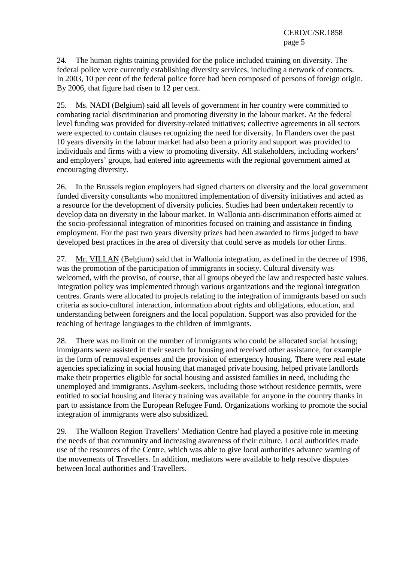24. The human rights training provided for the police included training on diversity. The federal police were currently establishing diversity services, including a network of contacts. In 2003, 10 per cent of the federal police force had been composed of persons of foreign origin. By 2006, that figure had risen to 12 per cent.

25. Ms. NADI (Belgium) said all levels of government in her country were committed to combating racial discrimination and promoting diversity in the labour market. At the federal level funding was provided for diversity-related initiatives; collective agreements in all sectors were expected to contain clauses recognizing the need for diversity. In Flanders over the past 10 years diversity in the labour market had also been a priority and support was provided to individuals and firms with a view to promoting diversity. All stakeholders, including workers' and employers' groups, had entered into agreements with the regional government aimed at encouraging diversity.

26. In the Brussels region employers had signed charters on diversity and the local government funded diversity consultants who monitored implementation of diversity initiatives and acted as a resource for the development of diversity policies. Studies had been undertaken recently to develop data on diversity in the labour market. In Wallonia anti-discrimination efforts aimed at the socio-professional integration of minorities focused on training and assistance in finding employment. For the past two years diversity prizes had been awarded to firms judged to have developed best practices in the area of diversity that could serve as models for other firms.

27. Mr. VILLAN (Belgium) said that in Wallonia integration, as defined in the decree of 1996, was the promotion of the participation of immigrants in society. Cultural diversity was welcomed, with the proviso, of course, that all groups obeyed the law and respected basic values. Integration policy was implemented through various organizations and the regional integration centres. Grants were allocated to projects relating to the integration of immigrants based on such criteria as socio-cultural interaction, information about rights and obligations, education, and understanding between foreigners and the local population. Support was also provided for the teaching of heritage languages to the children of immigrants.

28. There was no limit on the number of immigrants who could be allocated social housing; immigrants were assisted in their search for housing and received other assistance, for example in the form of removal expenses and the provision of emergency housing. There were real estate agencies specializing in social housing that managed private housing, helped private landlords make their properties eligible for social housing and assisted families in need, including the unemployed and immigrants. Asylum-seekers, including those without residence permits, were entitled to social housing and literacy training was available for anyone in the country thanks in part to assistance from the European Refugee Fund. Organizations working to promote the social integration of immigrants were also subsidized.

29. The Walloon Region Travellers' Mediation Centre had played a positive role in meeting the needs of that community and increasing awareness of their culture. Local authorities made use of the resources of the Centre, which was able to give local authorities advance warning of the movements of Travellers. In addition, mediators were available to help resolve disputes between local authorities and Travellers.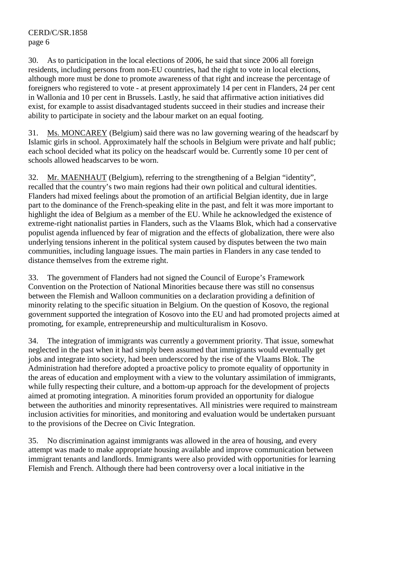30. As to participation in the local elections of 2006, he said that since 2006 all foreign residents, including persons from non-EU countries, had the right to vote in local elections, although more must be done to promote awareness of that right and increase the percentage of foreigners who registered to vote - at present approximately 14 per cent in Flanders, 24 per cent in Wallonia and 10 per cent in Brussels. Lastly, he said that affirmative action initiatives did exist, for example to assist disadvantaged students succeed in their studies and increase their ability to participate in society and the labour market on an equal footing.

31. Ms. MONCAREY (Belgium) said there was no law governing wearing of the headscarf by Islamic girls in school. Approximately half the schools in Belgium were private and half public; each school decided what its policy on the headscarf would be. Currently some 10 per cent of schools allowed headscarves to be worn.

Mr. MAENHAUT (Belgium), referring to the strengthening of a Belgian "identity", recalled that the country's two main regions had their own political and cultural identities. Flanders had mixed feelings about the promotion of an artificial Belgian identity, due in large part to the dominance of the French-speaking elite in the past, and felt it was more important to highlight the idea of Belgium as a member of the EU. While he acknowledged the existence of extreme-right nationalist parties in Flanders, such as the Vlaams Blok, which had a conservative populist agenda influenced by fear of migration and the effects of globalization, there were also underlying tensions inherent in the political system caused by disputes between the two main communities, including language issues. The main parties in Flanders in any case tended to distance themselves from the extreme right.

33. The government of Flanders had not signed the Council of Europe's Framework Convention on the Protection of National Minorities because there was still no consensus between the Flemish and Walloon communities on a declaration providing a definition of minority relating to the specific situation in Belgium. On the question of Kosovo, the regional government supported the integration of Kosovo into the EU and had promoted projects aimed at promoting, for example, entrepreneurship and multiculturalism in Kosovo.

34. The integration of immigrants was currently a government priority. That issue, somewhat neglected in the past when it had simply been assumed that immigrants would eventually get jobs and integrate into society, had been underscored by the rise of the Vlaams Blok. The Administration had therefore adopted a proactive policy to promote equality of opportunity in the areas of education and employment with a view to the voluntary assimilation of immigrants, while fully respecting their culture, and a bottom-up approach for the development of projects aimed at promoting integration. A minorities forum provided an opportunity for dialogue between the authorities and minority representatives. All ministries were required to mainstream inclusion activities for minorities, and monitoring and evaluation would be undertaken pursuant to the provisions of the Decree on Civic Integration.

35. No discrimination against immigrants was allowed in the area of housing, and every attempt was made to make appropriate housing available and improve communication between immigrant tenants and landlords. Immigrants were also provided with opportunities for learning Flemish and French. Although there had been controversy over a local initiative in the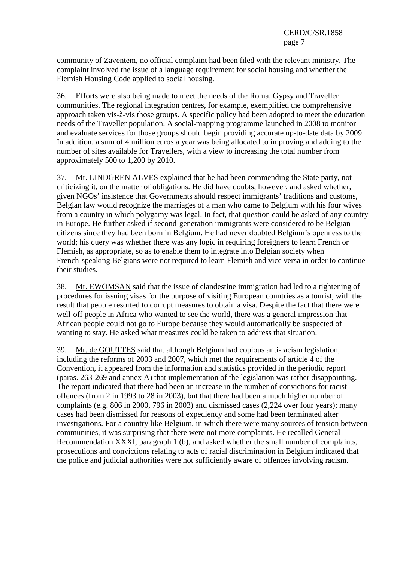community of Zaventem, no official complaint had been filed with the relevant ministry. The complaint involved the issue of a language requirement for social housing and whether the Flemish Housing Code applied to social housing.

36. Efforts were also being made to meet the needs of the Roma, Gypsy and Traveller communities. The regional integration centres, for example, exemplified the comprehensive approach taken vis-à-vis those groups. A specific policy had been adopted to meet the education needs of the Traveller population. A social-mapping programme launched in 2008 to monitor and evaluate services for those groups should begin providing accurate up-to-date data by 2009. In addition, a sum of 4 million euros a year was being allocated to improving and adding to the number of sites available for Travellers, with a view to increasing the total number from approximately 500 to 1,200 by 2010.

37. Mr. LINDGREN ALVES explained that he had been commending the State party, not criticizing it, on the matter of obligations. He did have doubts, however, and asked whether, given NGOs' insistence that Governments should respect immigrants' traditions and customs, Belgian law would recognize the marriages of a man who came to Belgium with his four wives from a country in which polygamy was legal. In fact, that question could be asked of any country in Europe. He further asked if second-generation immigrants were considered to be Belgian citizens since they had been born in Belgium. He had never doubted Belgium's openness to the world; his query was whether there was any logic in requiring foreigners to learn French or Flemish, as appropriate, so as to enable them to integrate into Belgian society when French-speaking Belgians were not required to learn Flemish and vice versa in order to continue their studies.

38. Mr. EWOMSAN said that the issue of clandestine immigration had led to a tightening of procedures for issuing visas for the purpose of visiting European countries as a tourist, with the result that people resorted to corrupt measures to obtain a visa. Despite the fact that there were well-off people in Africa who wanted to see the world, there was a general impression that African people could not go to Europe because they would automatically be suspected of wanting to stay. He asked what measures could be taken to address that situation.

39. Mr. de GOUTTES said that although Belgium had copious anti-racism legislation, including the reforms of 2003 and 2007, which met the requirements of article 4 of the Convention, it appeared from the information and statistics provided in the periodic report (paras. 263-269 and annex A) that implementation of the legislation was rather disappointing. The report indicated that there had been an increase in the number of convictions for racist offences (from 2 in 1993 to 28 in 2003), but that there had been a much higher number of complaints (e.g. 806 in 2000, 796 in 2003) and dismissed cases (2,224 over four years); many cases had been dismissed for reasons of expediency and some had been terminated after investigations. For a country like Belgium, in which there were many sources of tension between communities, it was surprising that there were not more complaints. He recalled General Recommendation XXXI, paragraph 1 (b), and asked whether the small number of complaints, prosecutions and convictions relating to acts of racial discrimination in Belgium indicated that the police and judicial authorities were not sufficiently aware of offences involving racism.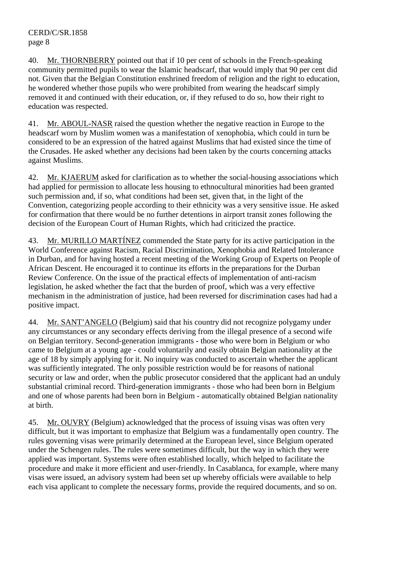40. Mr. THORNBERRY pointed out that if 10 per cent of schools in the French-speaking community permitted pupils to wear the Islamic headscarf, that would imply that 90 per cent did not. Given that the Belgian Constitution enshrined freedom of religion and the right to education, he wondered whether those pupils who were prohibited from wearing the headscarf simply removed it and continued with their education, or, if they refused to do so, how their right to education was respected.

41. Mr. ABOUL-NASR raised the question whether the negative reaction in Europe to the headscarf worn by Muslim women was a manifestation of xenophobia, which could in turn be considered to be an expression of the hatred against Muslims that had existed since the time of the Crusades. He asked whether any decisions had been taken by the courts concerning attacks against Muslims.

42. Mr. KJAERUM asked for clarification as to whether the social-housing associations which had applied for permission to allocate less housing to ethnocultural minorities had been granted such permission and, if so, what conditions had been set, given that, in the light of the Convention, categorizing people according to their ethnicity was a very sensitive issue. He asked for confirmation that there would be no further detentions in airport transit zones following the decision of the European Court of Human Rights, which had criticized the practice.

43. Mr. MURILLO MARTÍNEZ commended the State party for its active participation in the World Conference against Racism, Racial Discrimination, Xenophobia and Related Intolerance in Durban, and for having hosted a recent meeting of the Working Group of Experts on People of African Descent. He encouraged it to continue its efforts in the preparations for the Durban Review Conference. On the issue of the practical effects of implementation of anti-racism legislation, he asked whether the fact that the burden of proof, which was a very effective mechanism in the administration of justice, had been reversed for discrimination cases had had a positive impact.

44. Mr. SANT'ANGELO (Belgium) said that his country did not recognize polygamy under any circumstances or any secondary effects deriving from the illegal presence of a second wife on Belgian territory. Second-generation immigrants - those who were born in Belgium or who came to Belgium at a young age - could voluntarily and easily obtain Belgian nationality at the age of 18 by simply applying for it. No inquiry was conducted to ascertain whether the applicant was sufficiently integrated. The only possible restriction would be for reasons of national security or law and order, when the public prosecutor considered that the applicant had an unduly substantial criminal record. Third-generation immigrants - those who had been born in Belgium and one of whose parents had been born in Belgium - automatically obtained Belgian nationality at birth.

45. Mr. OUVRY (Belgium) acknowledged that the process of issuing visas was often very difficult, but it was important to emphasize that Belgium was a fundamentally open country. The rules governing visas were primarily determined at the European level, since Belgium operated under the Schengen rules. The rules were sometimes difficult, but the way in which they were applied was important. Systems were often established locally, which helped to facilitate the procedure and make it more efficient and user-friendly. In Casablanca, for example, where many visas were issued, an advisory system had been set up whereby officials were available to help each visa applicant to complete the necessary forms, provide the required documents, and so on.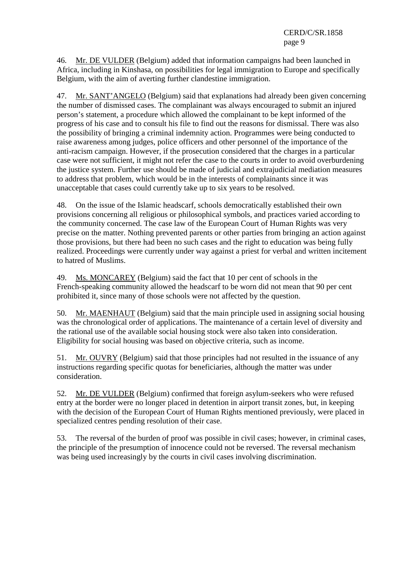46. Mr. DE VULDER (Belgium) added that information campaigns had been launched in Africa, including in Kinshasa, on possibilities for legal immigration to Europe and specifically Belgium, with the aim of averting further clandestine immigration.

47. Mr. SANT'ANGELO (Belgium) said that explanations had already been given concerning the number of dismissed cases. The complainant was always encouraged to submit an injured person's statement, a procedure which allowed the complainant to be kept informed of the progress of his case and to consult his file to find out the reasons for dismissal. There was also the possibility of bringing a criminal indemnity action. Programmes were being conducted to raise awareness among judges, police officers and other personnel of the importance of the anti-racism campaign. However, if the prosecution considered that the charges in a particular case were not sufficient, it might not refer the case to the courts in order to avoid overburdening the justice system. Further use should be made of judicial and extrajudicial mediation measures to address that problem, which would be in the interests of complainants since it was unacceptable that cases could currently take up to six years to be resolved.

48. On the issue of the Islamic headscarf, schools democratically established their own provisions concerning all religious or philosophical symbols, and practices varied according to the community concerned. The case law of the European Court of Human Rights was very precise on the matter. Nothing prevented parents or other parties from bringing an action against those provisions, but there had been no such cases and the right to education was being fully realized. Proceedings were currently under way against a priest for verbal and written incitement to hatred of Muslims.

49. Ms. MONCAREY (Belgium) said the fact that 10 per cent of schools in the French-speaking community allowed the headscarf to be worn did not mean that 90 per cent prohibited it, since many of those schools were not affected by the question.

50. Mr. MAENHAUT (Belgium) said that the main principle used in assigning social housing was the chronological order of applications. The maintenance of a certain level of diversity and the rational use of the available social housing stock were also taken into consideration. Eligibility for social housing was based on objective criteria, such as income.

51. Mr. OUVRY (Belgium) said that those principles had not resulted in the issuance of any instructions regarding specific quotas for beneficiaries, although the matter was under consideration.

52. Mr. DE VULDER (Belgium) confirmed that foreign asylum-seekers who were refused entry at the border were no longer placed in detention in airport transit zones, but, in keeping with the decision of the European Court of Human Rights mentioned previously, were placed in specialized centres pending resolution of their case.

53. The reversal of the burden of proof was possible in civil cases; however, in criminal cases, the principle of the presumption of innocence could not be reversed. The reversal mechanism was being used increasingly by the courts in civil cases involving discrimination.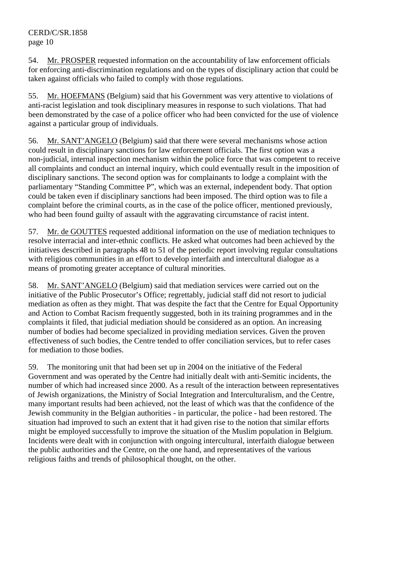54. Mr. PROSPER requested information on the accountability of law enforcement officials for enforcing anti-discrimination regulations and on the types of disciplinary action that could be taken against officials who failed to comply with those regulations.

55. Mr. HOEFMANS (Belgium) said that his Government was very attentive to violations of anti-racist legislation and took disciplinary measures in response to such violations. That had been demonstrated by the case of a police officer who had been convicted for the use of violence against a particular group of individuals.

56. Mr. SANT'ANGELO (Belgium) said that there were several mechanisms whose action could result in disciplinary sanctions for law enforcement officials. The first option was a non-judicial, internal inspection mechanism within the police force that was competent to receive all complaints and conduct an internal inquiry, which could eventually result in the imposition of disciplinary sanctions. The second option was for complainants to lodge a complaint with the parliamentary "Standing Committee P", which was an external, independent body. That option could be taken even if disciplinary sanctions had been imposed. The third option was to file a complaint before the criminal courts, as in the case of the police officer, mentioned previously, who had been found guilty of assault with the aggravating circumstance of racist intent.

57. Mr. de GOUTTES requested additional information on the use of mediation techniques to resolve interracial and inter-ethnic conflicts. He asked what outcomes had been achieved by the initiatives described in paragraphs 48 to 51 of the periodic report involving regular consultations with religious communities in an effort to develop interfaith and intercultural dialogue as a means of promoting greater acceptance of cultural minorities.

58. Mr. SANT'ANGELO (Belgium) said that mediation services were carried out on the initiative of the Public Prosecutor's Office; regrettably, judicial staff did not resort to judicial mediation as often as they might. That was despite the fact that the Centre for Equal Opportunity and Action to Combat Racism frequently suggested, both in its training programmes and in the complaints it filed, that judicial mediation should be considered as an option. An increasing number of bodies had become specialized in providing mediation services. Given the proven effectiveness of such bodies, the Centre tended to offer conciliation services, but to refer cases for mediation to those bodies.

59. The monitoring unit that had been set up in 2004 on the initiative of the Federal Government and was operated by the Centre had initially dealt with anti-Semitic incidents, the number of which had increased since 2000. As a result of the interaction between representatives of Jewish organizations, the Ministry of Social Integration and Interculturalism, and the Centre, many important results had been achieved, not the least of which was that the confidence of the Jewish community in the Belgian authorities - in particular, the police - had been restored. The situation had improved to such an extent that it had given rise to the notion that similar efforts might be employed successfully to improve the situation of the Muslim population in Belgium. Incidents were dealt with in conjunction with ongoing intercultural, interfaith dialogue between the public authorities and the Centre, on the one hand, and representatives of the various religious faiths and trends of philosophical thought, on the other.